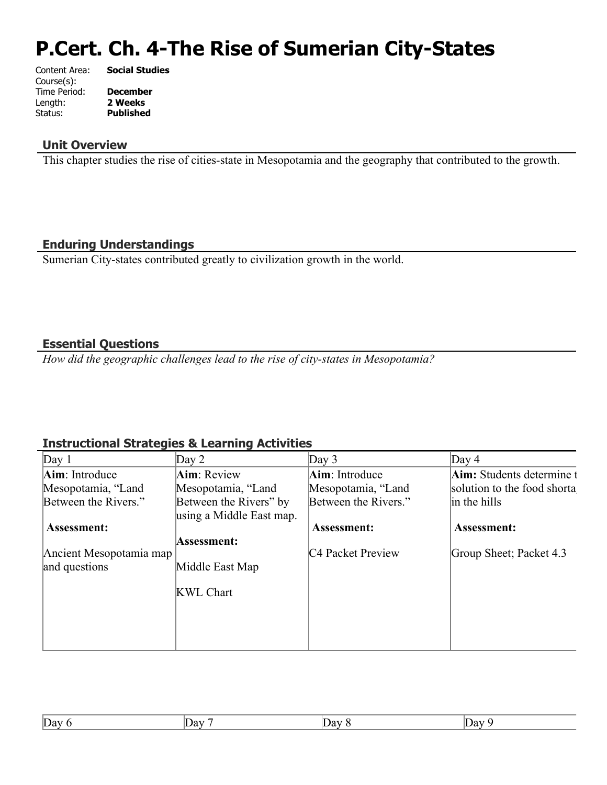# **P.Cert. Ch. 4-The Rise of Sumerian City-States**

| Content Area: | <b>Social Studies</b> |
|---------------|-----------------------|
| Course(s):    |                       |
| Time Period:  | <b>December</b>       |
| Length:       | 2 Weeks               |
| Status:       | <b>Published</b>      |
|               |                       |

#### **Unit Overview**

This chapter studies the rise of cities-state in Mesopotamia and the geography that contributed to the growth.

## **Enduring Understandings**

Sumerian City-states contributed greatly to civilization growth in the world.

#### **Essential Questions**

*How did the geographic challenges lead to the rise of city-states in Mesopotamia?*

## **Instructional Strategies & Learning Activities**

| Day 1                   | Day 2                    | Day $3$                       | Day $4$                          |
|-------------------------|--------------------------|-------------------------------|----------------------------------|
| Aim: Introduce          | Aim: Review              | Aim: Introduce                | <b>Aim:</b> Students determine t |
| Mesopotamia, "Land      | Mesopotamia, "Land       | Mesopotamia, "Land            | solution to the food shorta      |
| Between the Rivers."    | Between the Rivers" by   | Between the Rivers."          | in the hills                     |
|                         | using a Middle East map. |                               |                                  |
| <b>Assessment:</b>      |                          | Assessment:                   | <b>Assessment:</b>               |
|                         | Assessment:              |                               |                                  |
| Ancient Mesopotamia map |                          | C <sub>4</sub> Packet Preview | Group Sheet; Packet 4.3          |
| and questions           | Middle East Map          |                               |                                  |
|                         |                          |                               |                                  |
|                         | <b>KWL Chart</b>         |                               |                                  |
|                         |                          |                               |                                  |
|                         |                          |                               |                                  |
|                         |                          |                               |                                  |
|                         |                          |                               |                                  |

| $\sim$<br>$\sim$<br>$\sim$ |
|----------------------------|
|----------------------------|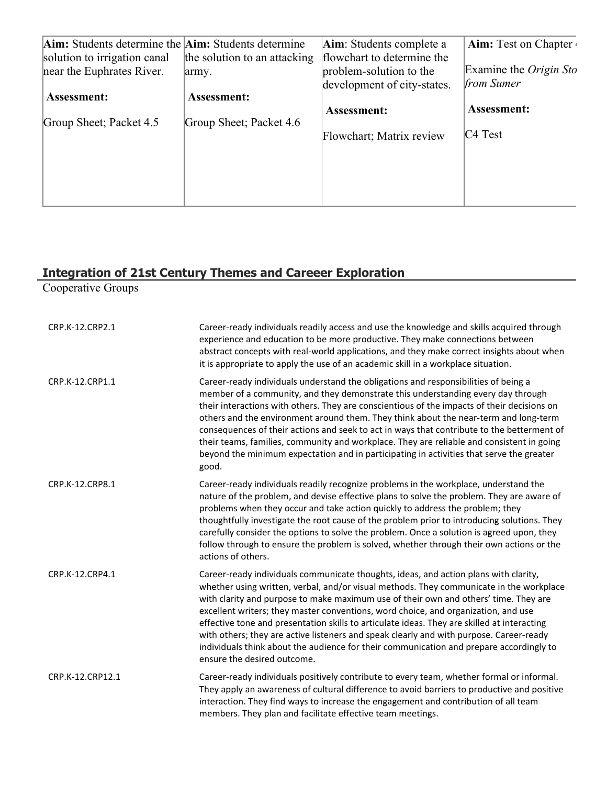| Aim: Students determine the Aim: Students determine       |                                       | Aim: Students complete a                              | <b>Aim:</b> Test on Chapter |
|-----------------------------------------------------------|---------------------------------------|-------------------------------------------------------|-----------------------------|
| solution to irrigation canal<br>near the Euphrates River. | the solution to an attacking<br>army. | flowchart to determine the<br>problem-solution to the | Examine the Origin Sto      |
|                                                           |                                       | development of city-states.                           | from Sumer                  |
| <b>Assessment:</b>                                        | <b>Assessment:</b>                    |                                                       |                             |
| Group Sheet; Packet 4.5                                   | Group Sheet; Packet 4.6               | <b>Assessment:</b>                                    | <b>Assessment:</b>          |
|                                                           |                                       | Flowchart; Matrix review                              | $C4$ Test                   |
|                                                           |                                       |                                                       |                             |
|                                                           |                                       |                                                       |                             |
|                                                           |                                       |                                                       |                             |
|                                                           |                                       |                                                       |                             |

#### **Integration of 21st Century Themes and Careeer Exploration**

Cooperative Groups

| CRP.K-12.CRP2.1  | Career-ready individuals readily access and use the knowledge and skills acquired through<br>experience and education to be more productive. They make connections between<br>abstract concepts with real-world applications, and they make correct insights about when<br>it is appropriate to apply the use of an academic skill in a workplace situation.                                                                                                                                                                                                                                                                                                                      |
|------------------|-----------------------------------------------------------------------------------------------------------------------------------------------------------------------------------------------------------------------------------------------------------------------------------------------------------------------------------------------------------------------------------------------------------------------------------------------------------------------------------------------------------------------------------------------------------------------------------------------------------------------------------------------------------------------------------|
| CRP.K-12.CRP1.1  | Career-ready individuals understand the obligations and responsibilities of being a<br>member of a community, and they demonstrate this understanding every day through<br>their interactions with others. They are conscientious of the impacts of their decisions on<br>others and the environment around them. They think about the near-term and long-term<br>consequences of their actions and seek to act in ways that contribute to the betterment of<br>their teams, families, community and workplace. They are reliable and consistent in going<br>beyond the minimum expectation and in participating in activities that serve the greater<br>good.                    |
| CRP.K-12.CRP8.1  | Career-ready individuals readily recognize problems in the workplace, understand the<br>nature of the problem, and devise effective plans to solve the problem. They are aware of<br>problems when they occur and take action quickly to address the problem; they<br>thoughtfully investigate the root cause of the problem prior to introducing solutions. They<br>carefully consider the options to solve the problem. Once a solution is agreed upon, they<br>follow through to ensure the problem is solved, whether through their own actions or the<br>actions of others.                                                                                                  |
| CRP.K-12.CRP4.1  | Career-ready individuals communicate thoughts, ideas, and action plans with clarity,<br>whether using written, verbal, and/or visual methods. They communicate in the workplace<br>with clarity and purpose to make maximum use of their own and others' time. They are<br>excellent writers; they master conventions, word choice, and organization, and use<br>effective tone and presentation skills to articulate ideas. They are skilled at interacting<br>with others; they are active listeners and speak clearly and with purpose. Career-ready<br>individuals think about the audience for their communication and prepare accordingly to<br>ensure the desired outcome. |
| CRP.K-12.CRP12.1 | Career-ready individuals positively contribute to every team, whether formal or informal.<br>They apply an awareness of cultural difference to avoid barriers to productive and positive<br>interaction. They find ways to increase the engagement and contribution of all team<br>members. They plan and facilitate effective team meetings.                                                                                                                                                                                                                                                                                                                                     |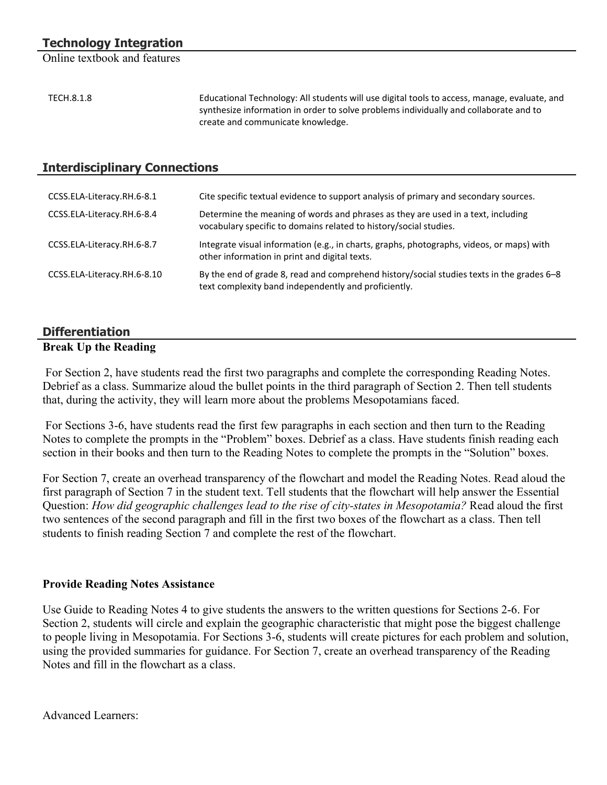Online textbook and features

| TECH.8.1.8 | Educational Technology: All students will use digital tools to access, manage, evaluate, and |
|------------|----------------------------------------------------------------------------------------------|
|            | synthesize information in order to solve problems individually and collaborate and to        |
|            | create and communicate knowledge.                                                            |

#### **Interdisciplinary Connections**

| CCSS.ELA-Literacy.RH.6-8.1  | Cite specific textual evidence to support analysis of primary and secondary sources.                                                                  |
|-----------------------------|-------------------------------------------------------------------------------------------------------------------------------------------------------|
| CCSS.ELA-Literacy.RH.6-8.4  | Determine the meaning of words and phrases as they are used in a text, including<br>vocabulary specific to domains related to history/social studies. |
| CCSS.ELA-Literacy.RH.6-8.7  | Integrate visual information (e.g., in charts, graphs, photographs, videos, or maps) with<br>other information in print and digital texts.            |
| CCSS.ELA-Literacy.RH.6-8.10 | By the end of grade 8, read and comprehend history/social studies texts in the grades 6-8<br>text complexity band independently and proficiently.     |

# **Differentiation**

#### **Break Up the Reading**

 For Section 2, have students read the first two paragraphs and complete the corresponding Reading Notes. Debrief as a class. Summarize aloud the bullet points in the third paragraph of Section 2. Then tell students that, during the activity, they will learn more about the problems Mesopotamians faced.

 For Sections 3-6, have students read the first few paragraphs in each section and then turn to the Reading Notes to complete the prompts in the "Problem" boxes. Debrief as a class. Have students finish reading each section in their books and then turn to the Reading Notes to complete the prompts in the "Solution" boxes.

For Section 7, create an overhead transparency of the flowchart and model the Reading Notes. Read aloud the first paragraph of Section 7 in the student text. Tell students that the flowchart will help answer the Essential Question: *How did geographic challenges lead to the rise of city-states in Mesopotamia?* Read aloud the first two sentences of the second paragraph and fill in the first two boxes of the flowchart as a class. Then tell students to finish reading Section 7 and complete the rest of the flowchart.

#### **Provide Reading Notes Assistance**

Use Guide to Reading Notes 4 to give students the answers to the written questions for Sections 2-6. For Section 2, students will circle and explain the geographic characteristic that might pose the biggest challenge to people living in Mesopotamia. For Sections 3-6, students will create pictures for each problem and solution, using the provided summaries for guidance. For Section 7, create an overhead transparency of the Reading Notes and fill in the flowchart as a class.

Advanced Learners: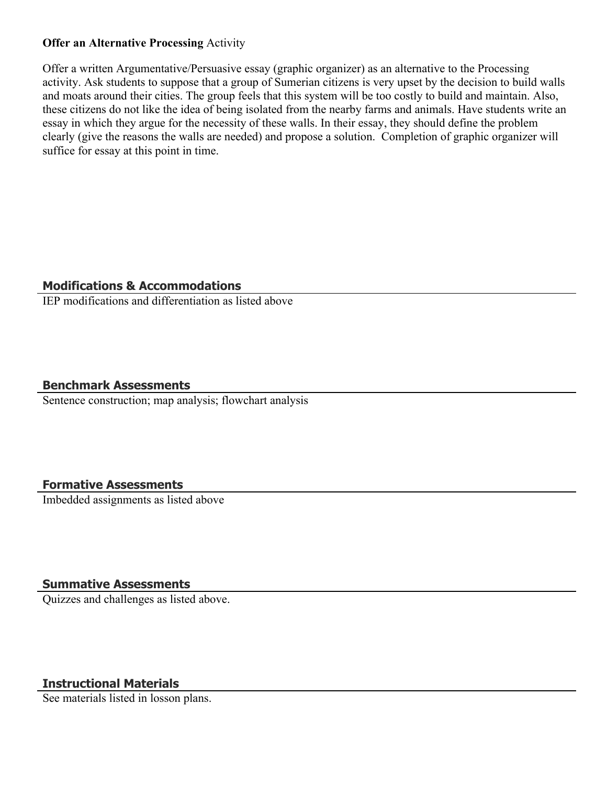#### **Offer an Alternative Processing** Activity

Offer a written Argumentative/Persuasive essay (graphic organizer) as an alternative to the Processing activity. Ask students to suppose that a group of Sumerian citizens is very upset by the decision to build walls and moats around their cities. The group feels that this system will be too costly to build and maintain. Also, these citizens do not like the idea of being isolated from the nearby farms and animals. Have students write an essay in which they argue for the necessity of these walls. In their essay, they should define the problem clearly (give the reasons the walls are needed) and propose a solution. Completion of graphic organizer will suffice for essay at this point in time.

#### **Modifications & Accommodations**

IEP modifications and differentiation as listed above

#### **Benchmark Assessments**

Sentence construction; map analysis; flowchart analysis

## **Formative Assessments**

Imbedded assignments as listed above

#### **Summative Assessments**

Quizzes and challenges as listed above.

## **Instructional Materials**

See materials listed in losson plans.